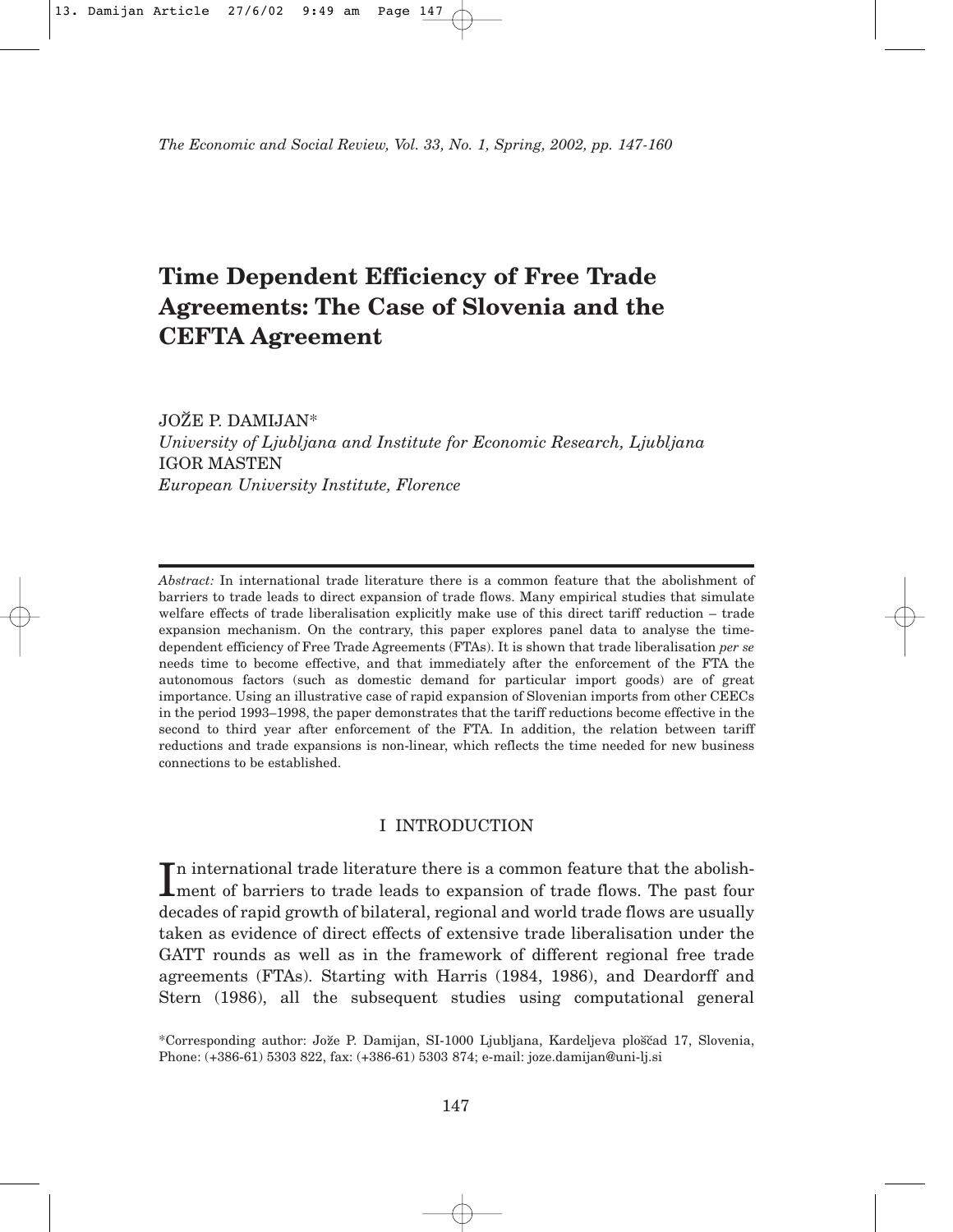*The Economic and Social Review, Vol. 33, No. 1, Spring, 2002, pp. 147-160*

# **Time Dependent Efficiency of Free Trade Agreements: The Case of Slovenia and the CEFTA Agreement**

JOŽE P. DAMIJAN\*

*University of Ljubljana and Institute for Economic Research, Ljubljana* IGOR MASTEN *European University Institute, Florence*

*Abstract:* In international trade literature there is a common feature that the abolishment of barriers to trade leads to direct expansion of trade flows. Many empirical studies that simulate welfare effects of trade liberalisation explicitly make use of this direct tariff reduction – trade expansion mechanism. On the contrary, this paper explores panel data to analyse the timedependent efficiency of Free Trade Agreements (FTAs). It is shown that trade liberalisation *per se* needs time to become effective, and that immediately after the enforcement of the FTA the autonomous factors (such as domestic demand for particular import goods) are of great importance. Using an illustrative case of rapid expansion of Slovenian imports from other CEECs in the period 1993–1998, the paper demonstrates that the tariff reductions become effective in the second to third year after enforcement of the FTA. In addition, the relation between tariff reductions and trade expansions is non-linear, which reflects the time needed for new business connections to be established.

# I INTRODUCTION

In international trade literature there is a common feature that the abolishment of barriers to trade leads to expansion of trade flows. The past four n international trade literature there is a common feature that the abolishdecades of rapid growth of bilateral, regional and world trade flows are usually taken as evidence of direct effects of extensive trade liberalisation under the GATT rounds as well as in the framework of different regional free trade agreements (FTAs). Starting with Harris (1984, 1986), and Deardorff and Stern (1986), all the subsequent studies using computational general

\*Corresponding author: Jože P. Damijan, SI-1000 Ljubljana, Kardeljeva ploščad 17, Slovenia, Phone: (+386-61) 5303 822, fax: (+386-61) 5303 874; e-mail: joze.damijan@uni-lj.si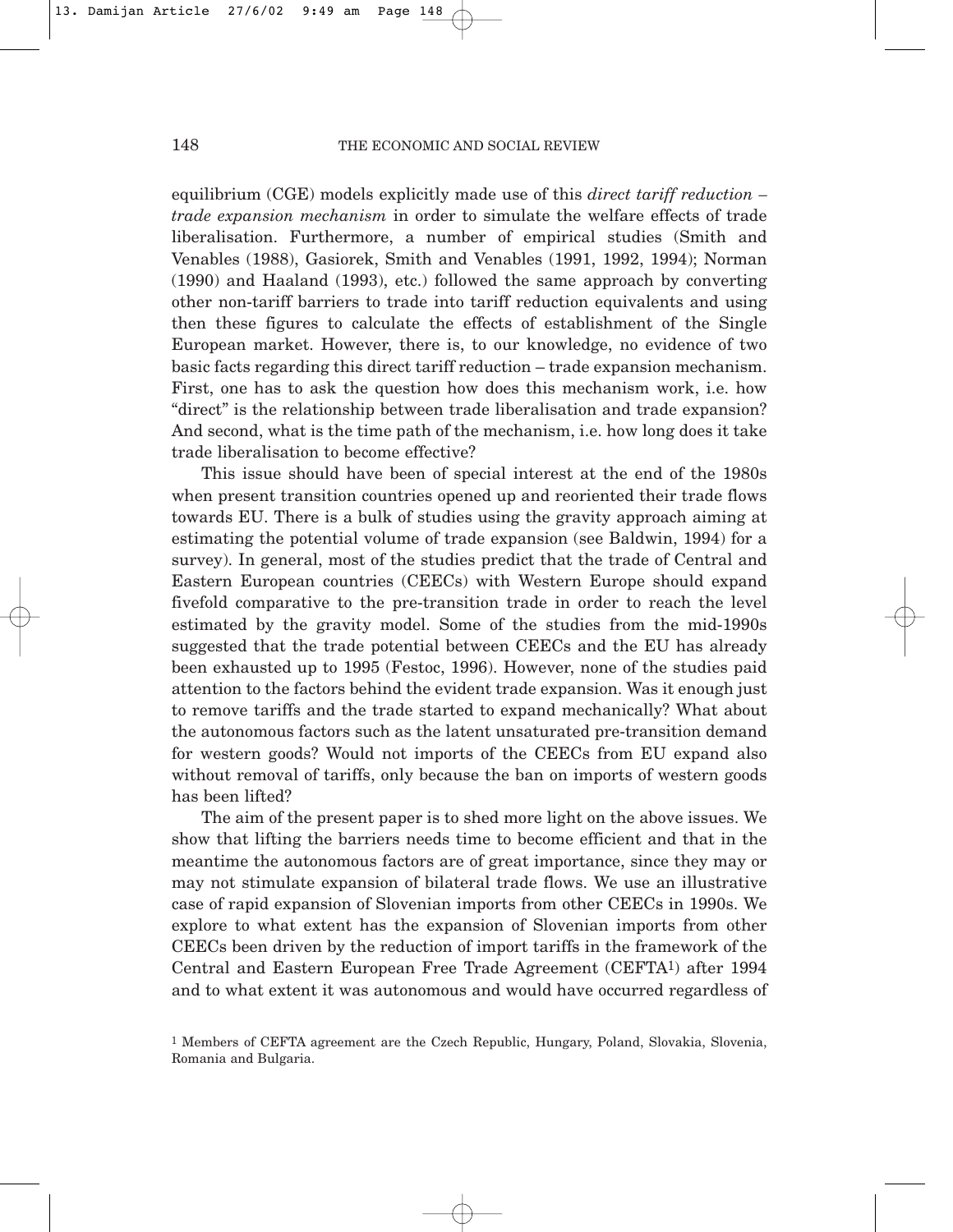equilibrium (CGE) models explicitly made use of this *direct tariff reduction – trade expansion mechanism* in order to simulate the welfare effects of trade liberalisation. Furthermore, a number of empirical studies (Smith and Venables (1988), Gasiorek, Smith and Venables (1991, 1992, 1994); Norman (1990) and Haaland (1993), etc.) followed the same approach by converting other non-tariff barriers to trade into tariff reduction equivalents and using then these figures to calculate the effects of establishment of the Single European market. However, there is, to our knowledge, no evidence of two basic facts regarding this direct tariff reduction – trade expansion mechanism. First, one has to ask the question how does this mechanism work, i.e. how "direct" is the relationship between trade liberalisation and trade expansion? And second, what is the time path of the mechanism, i.e. how long does it take trade liberalisation to become effective?

This issue should have been of special interest at the end of the 1980s when present transition countries opened up and reoriented their trade flows towards EU. There is a bulk of studies using the gravity approach aiming at estimating the potential volume of trade expansion (see Baldwin, 1994) for a survey). In general, most of the studies predict that the trade of Central and Eastern European countries (CEECs) with Western Europe should expand fivefold comparative to the pre-transition trade in order to reach the level estimated by the gravity model. Some of the studies from the mid-1990s suggested that the trade potential between CEECs and the EU has already been exhausted up to 1995 (Festoc, 1996). However, none of the studies paid attention to the factors behind the evident trade expansion. Was it enough just to remove tariffs and the trade started to expand mechanically? What about the autonomous factors such as the latent unsaturated pre-transition demand for western goods? Would not imports of the CEECs from EU expand also without removal of tariffs, only because the ban on imports of western goods has been lifted?

The aim of the present paper is to shed more light on the above issues. We show that lifting the barriers needs time to become efficient and that in the meantime the autonomous factors are of great importance, since they may or may not stimulate expansion of bilateral trade flows. We use an illustrative case of rapid expansion of Slovenian imports from other CEECs in 1990s. We explore to what extent has the expansion of Slovenian imports from other CEECs been driven by the reduction of import tariffs in the framework of the Central and Eastern European Free Trade Agreement (CEFTA1) after 1994 and to what extent it was autonomous and would have occurred regardless of

<sup>1</sup> Members of CEFTA agreement are the Czech Republic, Hungary, Poland, Slovakia, Slovenia, Romania and Bulgaria.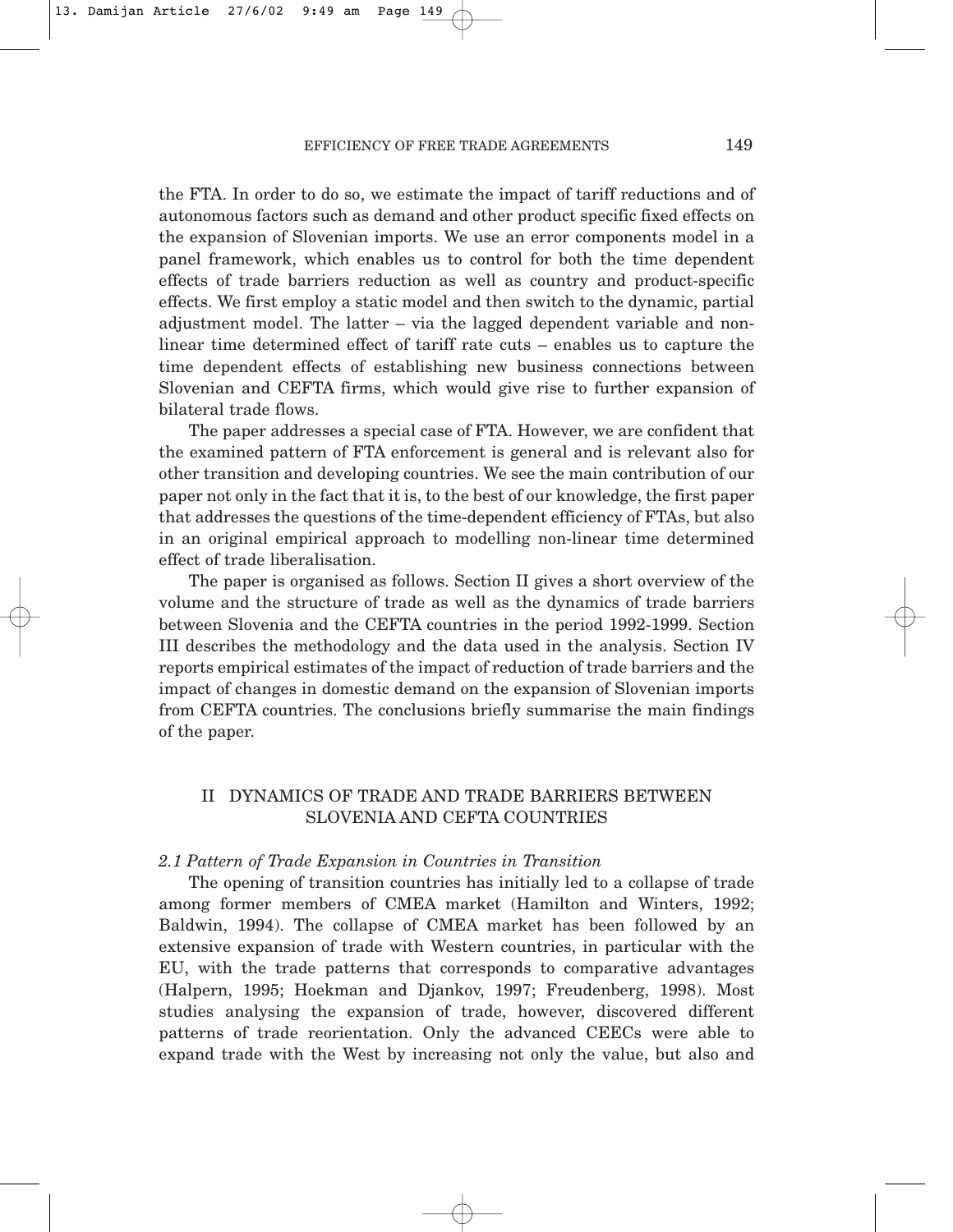### EFFICIENCY OF FREE TRADE AGREEMENTS 149

the FTA. In order to do so, we estimate the impact of tariff reductions and of autonomous factors such as demand and other product specific fixed effects on the expansion of Slovenian imports. We use an error components model in a panel framework, which enables us to control for both the time dependent effects of trade barriers reduction as well as country and product-specific effects. We first employ a static model and then switch to the dynamic, partial adjustment model. The latter – via the lagged dependent variable and nonlinear time determined effect of tariff rate cuts – enables us to capture the time dependent effects of establishing new business connections between Slovenian and CEFTA firms, which would give rise to further expansion of bilateral trade flows.

The paper addresses a special case of FTA. However, we are confident that the examined pattern of FTA enforcement is general and is relevant also for other transition and developing countries. We see the main contribution of our paper not only in the fact that it is, to the best of our knowledge, the first paper that addresses the questions of the time-dependent efficiency of FTAs, but also in an original empirical approach to modelling non-linear time determined effect of trade liberalisation.

The paper is organised as follows. Section II gives a short overview of the volume and the structure of trade as well as the dynamics of trade barriers between Slovenia and the CEFTA countries in the period 1992-1999. Section III describes the methodology and the data used in the analysis. Section IV reports empirical estimates of the impact of reduction of trade barriers and the impact of changes in domestic demand on the expansion of Slovenian imports from CEFTA countries. The conclusions briefly summarise the main findings of the paper.

# II DYNAMICS OF TRADE AND TRADE BARRIERS BETWEEN SLOVENIA AND CEFTA COUNTRIES

#### *2.1 Pattern of Trade Expansion in Countries in Transition*

The opening of transition countries has initially led to a collapse of trade among former members of CMEA market (Hamilton and Winters, 1992; Baldwin, 1994). The collapse of CMEA market has been followed by an extensive expansion of trade with Western countries, in particular with the EU, with the trade patterns that corresponds to comparative advantages (Halpern, 1995; Hoekman and Djankov, 1997; Freudenberg, 1998). Most studies analysing the expansion of trade, however, discovered different patterns of trade reorientation. Only the advanced CEECs were able to expand trade with the West by increasing not only the value, but also and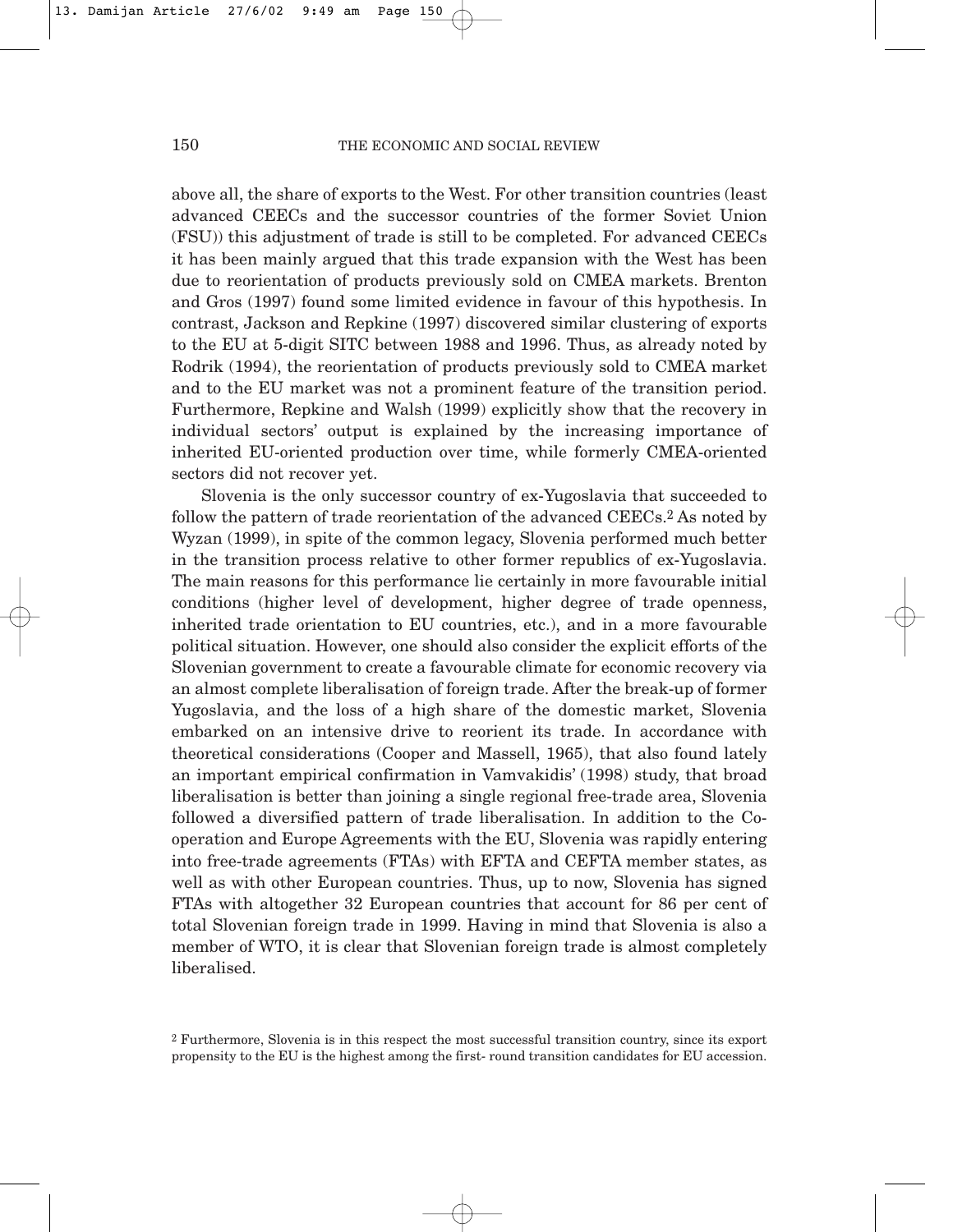above all, the share of exports to the West. For other transition countries (least advanced CEECs and the successor countries of the former Soviet Union (FSU)) this adjustment of trade is still to be completed. For advanced CEECs it has been mainly argued that this trade expansion with the West has been due to reorientation of products previously sold on CMEA markets. Brenton and Gros (1997) found some limited evidence in favour of this hypothesis. In contrast, Jackson and Repkine (1997) discovered similar clustering of exports to the EU at 5-digit SITC between 1988 and 1996. Thus, as already noted by Rodrik (1994), the reorientation of products previously sold to CMEA market and to the EU market was not a prominent feature of the transition period. Furthermore, Repkine and Walsh (1999) explicitly show that the recovery in individual sectors' output is explained by the increasing importance of inherited EU-oriented production over time, while formerly CMEA-oriented sectors did not recover yet.

Slovenia is the only successor country of ex-Yugoslavia that succeeded to follow the pattern of trade reorientation of the advanced CEECs.2 As noted by Wyzan (1999), in spite of the common legacy, Slovenia performed much better in the transition process relative to other former republics of ex-Yugoslavia. The main reasons for this performance lie certainly in more favourable initial conditions (higher level of development, higher degree of trade openness, inherited trade orientation to EU countries, etc.), and in a more favourable political situation. However, one should also consider the explicit efforts of the Slovenian government to create a favourable climate for economic recovery via an almost complete liberalisation of foreign trade. After the break-up of former Yugoslavia, and the loss of a high share of the domestic market, Slovenia embarked on an intensive drive to reorient its trade. In accordance with theoretical considerations (Cooper and Massell, 1965), that also found lately an important empirical confirmation in Vamvakidis' (1998) study, that broad liberalisation is better than joining a single regional free-trade area, Slovenia followed a diversified pattern of trade liberalisation. In addition to the Cooperation and Europe Agreements with the EU, Slovenia was rapidly entering into free-trade agreements (FTAs) with EFTA and CEFTA member states, as well as with other European countries. Thus, up to now, Slovenia has signed FTAs with altogether 32 European countries that account for 86 per cent of total Slovenian foreign trade in 1999. Having in mind that Slovenia is also a member of WTO, it is clear that Slovenian foreign trade is almost completely liberalised.

<sup>2</sup> Furthermore, Slovenia is in this respect the most successful transition country, since its export propensity to the EU is the highest among the first- round transition candidates for EU accession.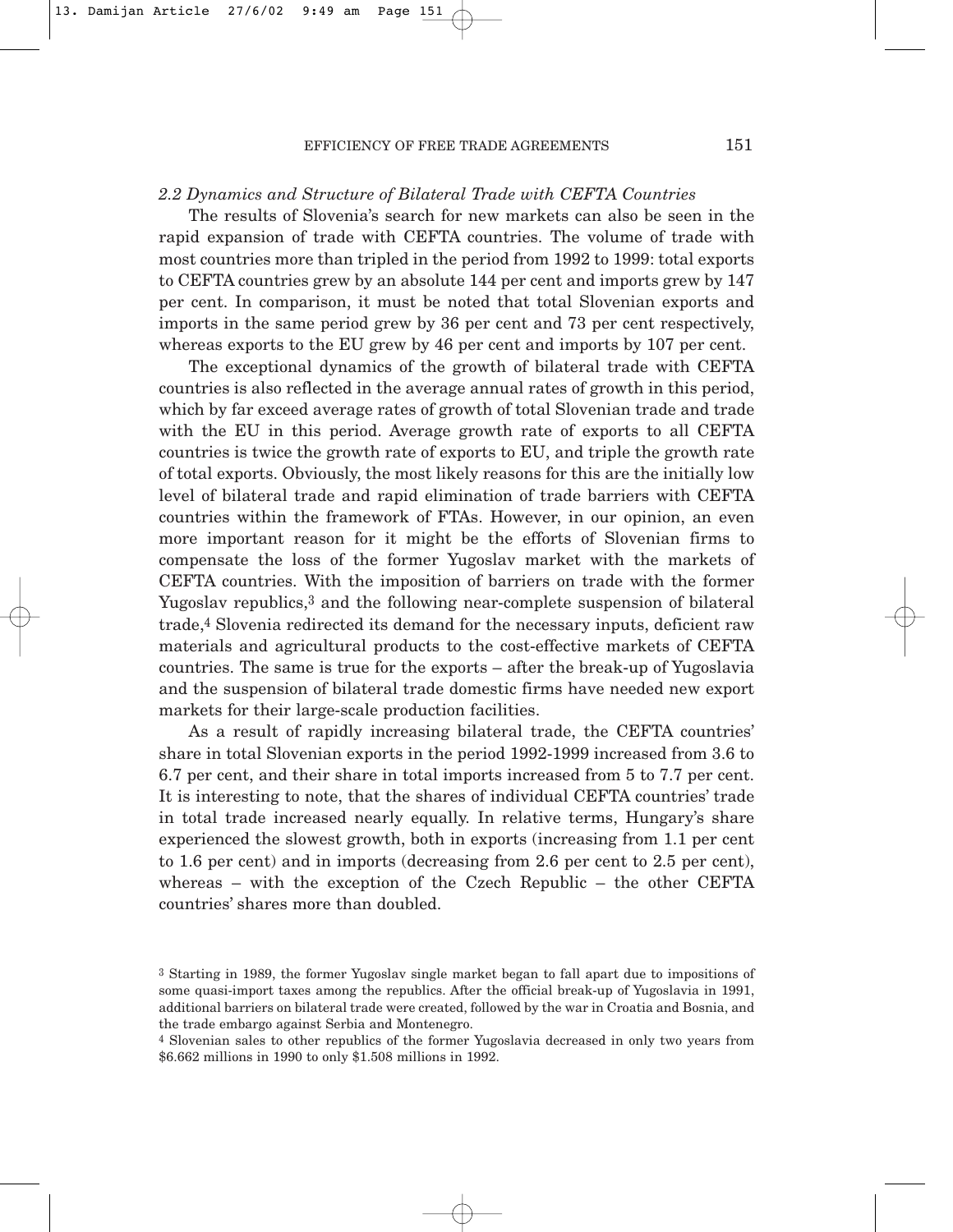#### EFFICIENCY OF FREE TRADE AGREEMENTS 151

# *2.2 Dynamics and Structure of Bilateral Trade with CEFTA Countries*

The results of Slovenia's search for new markets can also be seen in the rapid expansion of trade with CEFTA countries. The volume of trade with most countries more than tripled in the period from 1992 to 1999: total exports to CEFTA countries grew by an absolute 144 per cent and imports grew by 147 per cent. In comparison, it must be noted that total Slovenian exports and imports in the same period grew by 36 per cent and 73 per cent respectively, whereas exports to the EU grew by 46 per cent and imports by 107 per cent.

The exceptional dynamics of the growth of bilateral trade with CEFTA countries is also reflected in the average annual rates of growth in this period, which by far exceed average rates of growth of total Slovenian trade and trade with the EU in this period. Average growth rate of exports to all CEFTA countries is twice the growth rate of exports to EU, and triple the growth rate of total exports. Obviously, the most likely reasons for this are the initially low level of bilateral trade and rapid elimination of trade barriers with CEFTA countries within the framework of FTAs. However, in our opinion, an even more important reason for it might be the efforts of Slovenian firms to compensate the loss of the former Yugoslav market with the markets of CEFTA countries. With the imposition of barriers on trade with the former Yugoslav republics,3 and the following near-complete suspension of bilateral trade,4 Slovenia redirected its demand for the necessary inputs, deficient raw materials and agricultural products to the cost-effective markets of CEFTA countries. The same is true for the exports – after the break-up of Yugoslavia and the suspension of bilateral trade domestic firms have needed new export markets for their large-scale production facilities.

As a result of rapidly increasing bilateral trade, the CEFTA countries' share in total Slovenian exports in the period 1992-1999 increased from 3.6 to 6.7 per cent, and their share in total imports increased from 5 to 7.7 per cent. It is interesting to note, that the shares of individual CEFTA countries' trade in total trade increased nearly equally. In relative terms, Hungary's share experienced the slowest growth, both in exports (increasing from 1.1 per cent to 1.6 per cent) and in imports (decreasing from 2.6 per cent to 2.5 per cent), whereas – with the exception of the Czech Republic – the other CEFTA countries' shares more than doubled.

<sup>4</sup> Slovenian sales to other republics of the former Yugoslavia decreased in only two years from \$6.662 millions in 1990 to only \$1.508 millions in 1992.

<sup>3</sup> Starting in 1989, the former Yugoslav single market began to fall apart due to impositions of some quasi-import taxes among the republics. After the official break-up of Yugoslavia in 1991, additional barriers on bilateral trade were created, followed by the war in Croatia and Bosnia, and the trade embargo against Serbia and Montenegro.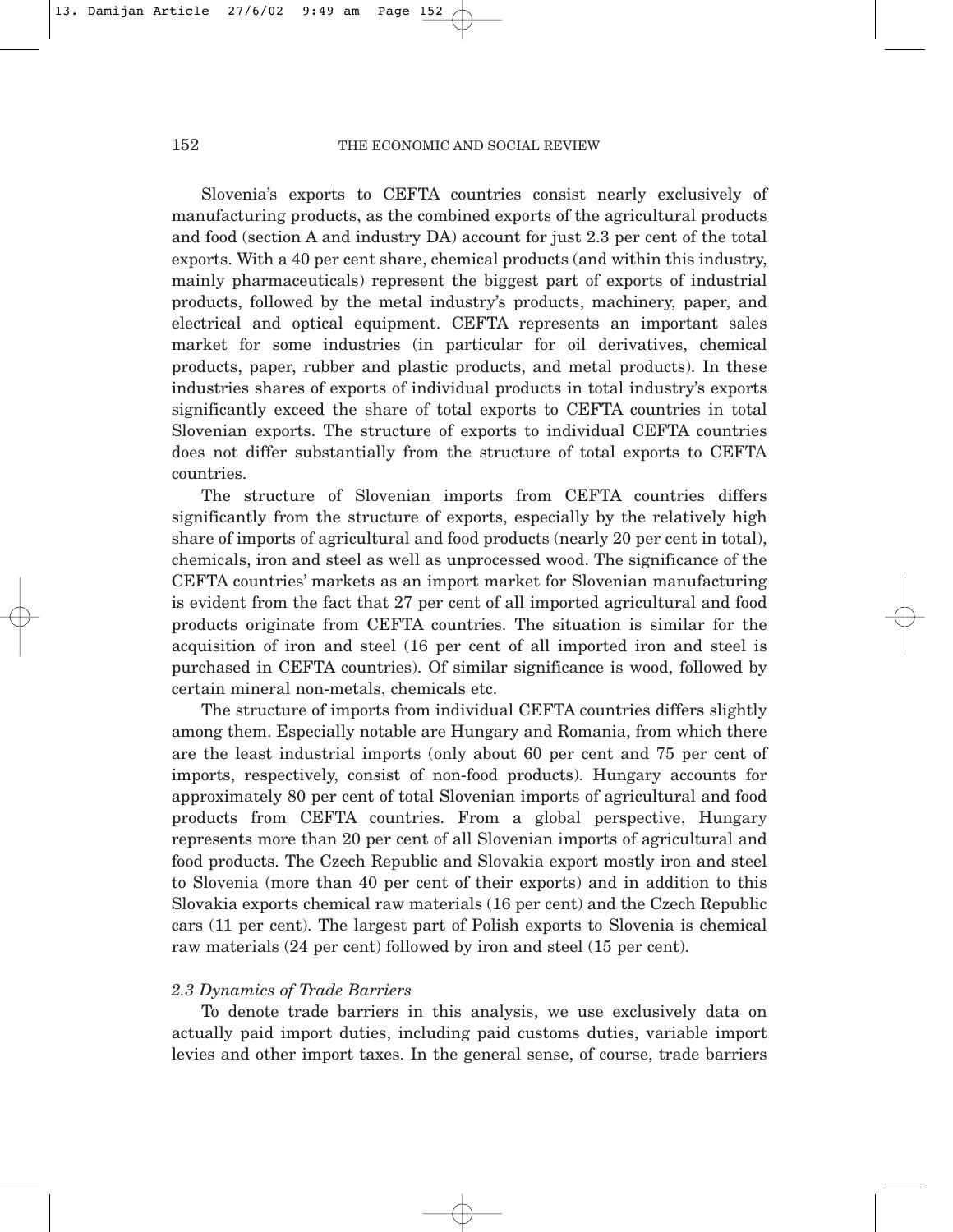Slovenia's exports to CEFTA countries consist nearly exclusively of manufacturing products, as the combined exports of the agricultural products and food (section A and industry DA) account for just 2.3 per cent of the total exports. With a 40 per cent share, chemical products (and within this industry, mainly pharmaceuticals) represent the biggest part of exports of industrial products, followed by the metal industry's products, machinery, paper, and electrical and optical equipment. CEFTA represents an important sales market for some industries (in particular for oil derivatives, chemical products, paper, rubber and plastic products, and metal products). In these industries shares of exports of individual products in total industry's exports significantly exceed the share of total exports to CEFTA countries in total Slovenian exports. The structure of exports to individual CEFTA countries does not differ substantially from the structure of total exports to CEFTA countries.

The structure of Slovenian imports from CEFTA countries differs significantly from the structure of exports, especially by the relatively high share of imports of agricultural and food products (nearly 20 per cent in total), chemicals, iron and steel as well as unprocessed wood. The significance of the CEFTA countries' markets as an import market for Slovenian manufacturing is evident from the fact that 27 per cent of all imported agricultural and food products originate from CEFTA countries. The situation is similar for the acquisition of iron and steel (16 per cent of all imported iron and steel is purchased in CEFTA countries). Of similar significance is wood, followed by certain mineral non-metals, chemicals etc.

The structure of imports from individual CEFTA countries differs slightly among them. Especially notable are Hungary and Romania, from which there are the least industrial imports (only about 60 per cent and 75 per cent of imports, respectively, consist of non-food products). Hungary accounts for approximately 80 per cent of total Slovenian imports of agricultural and food products from CEFTA countries. From a global perspective, Hungary represents more than 20 per cent of all Slovenian imports of agricultural and food products. The Czech Republic and Slovakia export mostly iron and steel to Slovenia (more than 40 per cent of their exports) and in addition to this Slovakia exports chemical raw materials (16 per cent) and the Czech Republic cars (11 per cent). The largest part of Polish exports to Slovenia is chemical raw materials (24 per cent) followed by iron and steel (15 per cent).

### *2.3 Dynamics of Trade Barriers*

To denote trade barriers in this analysis, we use exclusively data on actually paid import duties, including paid customs duties, variable import levies and other import taxes. In the general sense, of course, trade barriers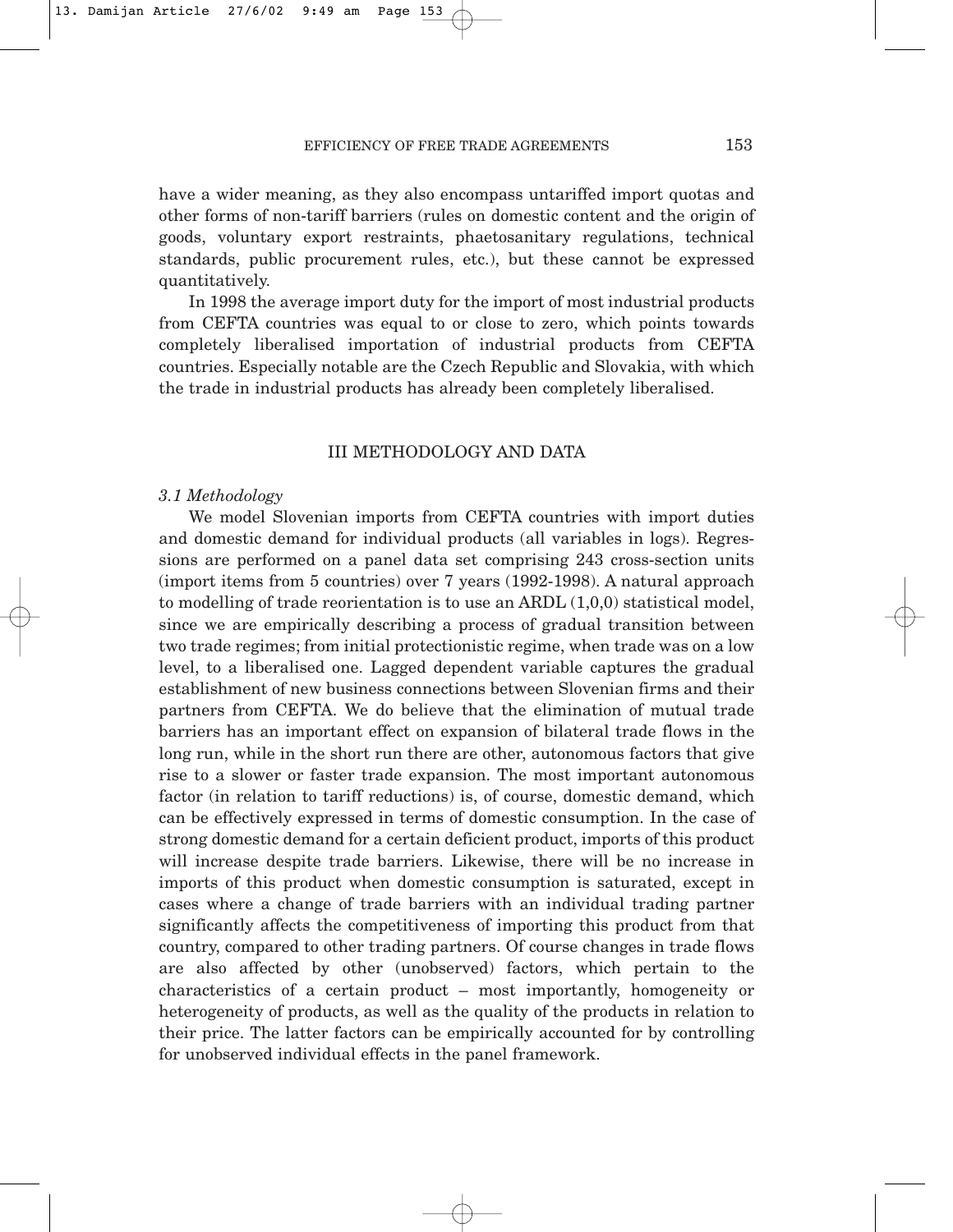# EFFICIENCY OF FREE TRADE AGREEMENTS 153

have a wider meaning, as they also encompass untariffed import quotas and other forms of non-tariff barriers (rules on domestic content and the origin of goods, voluntary export restraints, phaetosanitary regulations, technical standards, public procurement rules, etc.), but these cannot be expressed quantitatively.

In 1998 the average import duty for the import of most industrial products from CEFTA countries was equal to or close to zero, which points towards completely liberalised importation of industrial products from CEFTA countries. Especially notable are the Czech Republic and Slovakia, with which the trade in industrial products has already been completely liberalised.

# III METHODOLOGY AND DATA

# *3.1 Methodology*

We model Slovenian imports from CEFTA countries with import duties and domestic demand for individual products (all variables in logs). Regressions are performed on a panel data set comprising 243 cross-section units (import items from 5 countries) over 7 years (1992-1998). A natural approach to modelling of trade reorientation is to use an ARDL  $(1,0,0)$  statistical model, since we are empirically describing a process of gradual transition between two trade regimes; from initial protectionistic regime, when trade was on a low level, to a liberalised one. Lagged dependent variable captures the gradual establishment of new business connections between Slovenian firms and their partners from CEFTA. We do believe that the elimination of mutual trade barriers has an important effect on expansion of bilateral trade flows in the long run, while in the short run there are other, autonomous factors that give rise to a slower or faster trade expansion. The most important autonomous factor (in relation to tariff reductions) is, of course, domestic demand, which can be effectively expressed in terms of domestic consumption. In the case of strong domestic demand for a certain deficient product, imports of this product will increase despite trade barriers. Likewise, there will be no increase in imports of this product when domestic consumption is saturated, except in cases where a change of trade barriers with an individual trading partner significantly affects the competitiveness of importing this product from that country, compared to other trading partners. Of course changes in trade flows are also affected by other (unobserved) factors, which pertain to the characteristics of a certain product – most importantly, homogeneity or heterogeneity of products, as well as the quality of the products in relation to their price. The latter factors can be empirically accounted for by controlling for unobserved individual effects in the panel framework.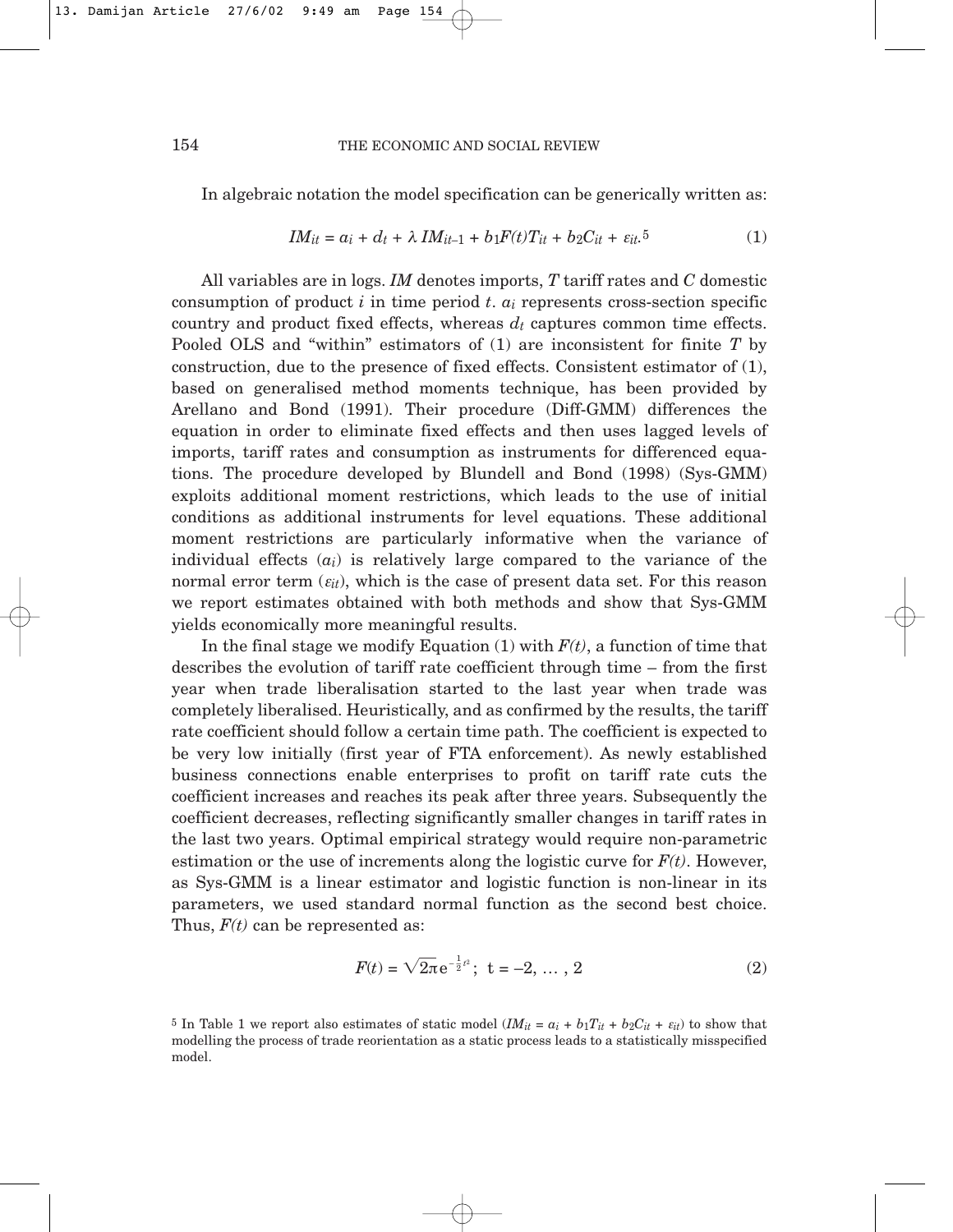In algebraic notation the model specification can be generically written as:

$$
IM_{it} = a_i + d_t + \lambda IM_{it-1} + b_1F(t)T_{it} + b_2C_{it} + \varepsilon_{it}.5
$$
 (1)

All variables are in logs. *IM* denotes imports, *T* tariff rates and *C* domestic consumption of product *i* in time period *t*. *ai* represents cross-section specific country and product fixed effects, whereas  $d_t$  captures common time effects. Pooled OLS and "within" estimators of (1) are inconsistent for finite *T* by construction, due to the presence of fixed effects. Consistent estimator of (1), based on generalised method moments technique, has been provided by Arellano and Bond (1991). Their procedure (Diff-GMM) differences the equation in order to eliminate fixed effects and then uses lagged levels of imports, tariff rates and consumption as instruments for differenced equations. The procedure developed by Blundell and Bond (1998) (Sys-GMM) exploits additional moment restrictions, which leads to the use of initial conditions as additional instruments for level equations. These additional moment restrictions are particularly informative when the variance of individual effects (*ai*) is relatively large compared to the variance of the normal error term  $(\varepsilon_{it})$ , which is the case of present data set. For this reason we report estimates obtained with both methods and show that Sys-GMM yields economically more meaningful results.

In the final stage we modify Equation  $(1)$  with  $F(t)$ , a function of time that describes the evolution of tariff rate coefficient through time – from the first year when trade liberalisation started to the last year when trade was completely liberalised. Heuristically, and as confirmed by the results, the tariff rate coefficient should follow a certain time path. The coefficient is expected to be very low initially (first year of FTA enforcement). As newly established business connections enable enterprises to profit on tariff rate cuts the coefficient increases and reaches its peak after three years. Subsequently the coefficient decreases, reflecting significantly smaller changes in tariff rates in the last two years. Optimal empirical strategy would require non-parametric estimation or the use of increments along the logistic curve for  $F(t)$ . However, as Sys-GMM is a linear estimator and logistic function is non-linear in its parameters, we used standard normal function as the second best choice. Thus, *F(t)* can be represented as:

$$
F(t) = \sqrt{2\pi} e^{-\frac{1}{2}t^2}; \ \ t = -2, \ \dots \ , \ 2
$$
 (2)

<sup>5</sup> In Table 1 we report also estimates of static model  $(IM_{it} = a_i + b_1T_{it} + b_2C_{it} + \varepsilon_{it})$  to show that modelling the process of trade reorientation as a static process leads to a statistically misspecified model.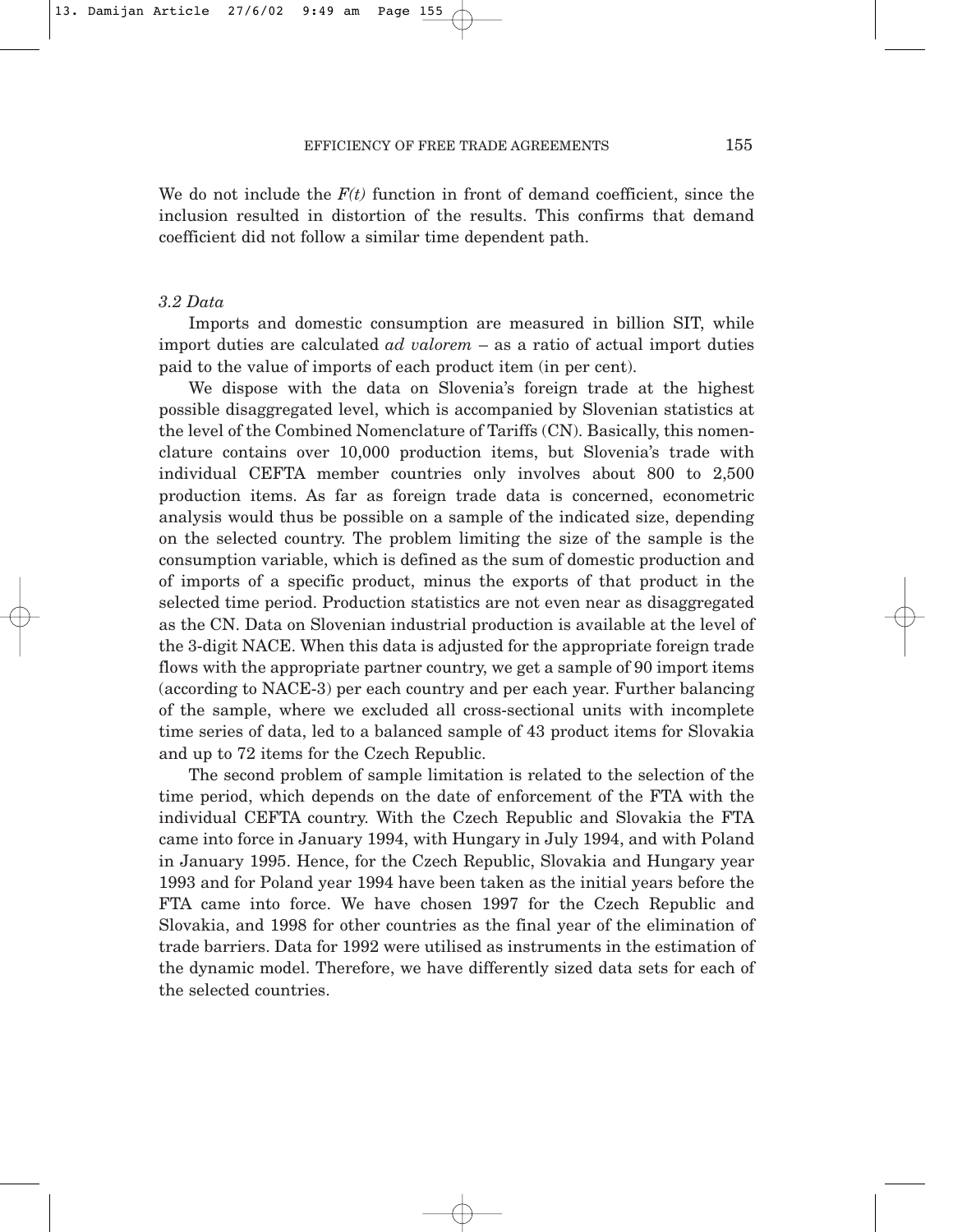We do not include the  $F(t)$  function in front of demand coefficient, since the inclusion resulted in distortion of the results. This confirms that demand coefficient did not follow a similar time dependent path.

# *3.2 Data*

Imports and domestic consumption are measured in billion SIT, while import duties are calculated *ad valorem* – as a ratio of actual import duties paid to the value of imports of each product item (in per cent).

We dispose with the data on Slovenia's foreign trade at the highest possible disaggregated level, which is accompanied by Slovenian statistics at the level of the Combined Nomenclature of Tariffs (CN). Basically, this nomenclature contains over 10,000 production items, but Slovenia's trade with individual CEFTA member countries only involves about 800 to 2,500 production items. As far as foreign trade data is concerned, econometric analysis would thus be possible on a sample of the indicated size, depending on the selected country. The problem limiting the size of the sample is the consumption variable, which is defined as the sum of domestic production and of imports of a specific product, minus the exports of that product in the selected time period. Production statistics are not even near as disaggregated as the CN. Data on Slovenian industrial production is available at the level of the 3-digit NACE. When this data is adjusted for the appropriate foreign trade flows with the appropriate partner country, we get a sample of 90 import items (according to NACE-3) per each country and per each year. Further balancing of the sample, where we excluded all cross-sectional units with incomplete time series of data, led to a balanced sample of 43 product items for Slovakia and up to 72 items for the Czech Republic.

The second problem of sample limitation is related to the selection of the time period, which depends on the date of enforcement of the FTA with the individual CEFTA country. With the Czech Republic and Slovakia the FTA came into force in January 1994, with Hungary in July 1994, and with Poland in January 1995. Hence, for the Czech Republic, Slovakia and Hungary year 1993 and for Poland year 1994 have been taken as the initial years before the FTA came into force. We have chosen 1997 for the Czech Republic and Slovakia, and 1998 for other countries as the final year of the elimination of trade barriers. Data for 1992 were utilised as instruments in the estimation of the dynamic model. Therefore, we have differently sized data sets for each of the selected countries.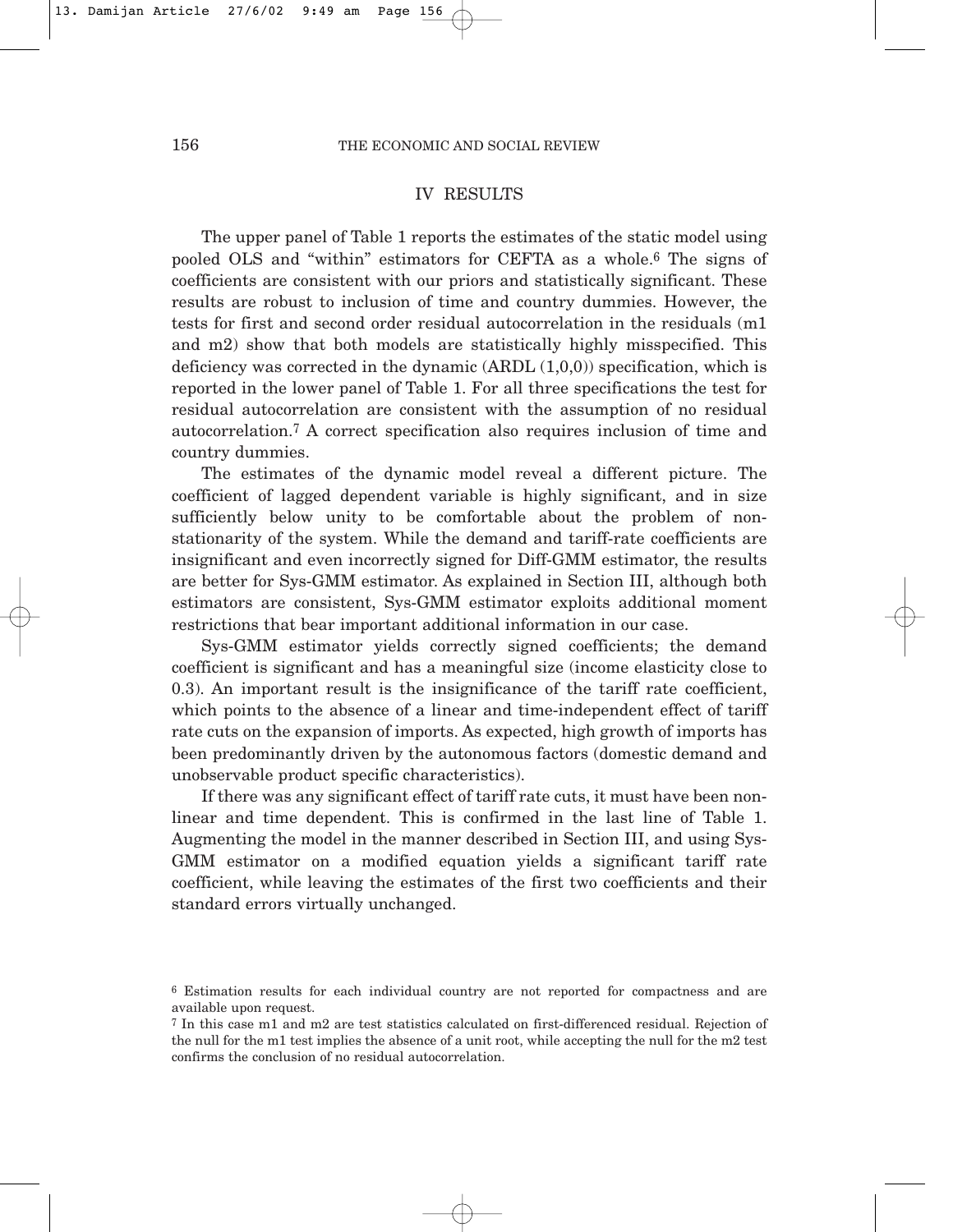# IV RESULTS

The upper panel of Table 1 reports the estimates of the static model using pooled OLS and "within" estimators for CEFTA as a whole.6 The signs of coefficients are consistent with our priors and statistically significant. These results are robust to inclusion of time and country dummies. However, the tests for first and second order residual autocorrelation in the residuals (m1 and m2) show that both models are statistically highly misspecified. This deficiency was corrected in the dynamic  $(ARDL (1,0,0))$  specification, which is reported in the lower panel of Table 1. For all three specifications the test for residual autocorrelation are consistent with the assumption of no residual autocorrelation.7 A correct specification also requires inclusion of time and country dummies.

The estimates of the dynamic model reveal a different picture. The coefficient of lagged dependent variable is highly significant, and in size sufficiently below unity to be comfortable about the problem of nonstationarity of the system. While the demand and tariff-rate coefficients are insignificant and even incorrectly signed for Diff-GMM estimator, the results are better for Sys-GMM estimator. As explained in Section III, although both estimators are consistent, Sys-GMM estimator exploits additional moment restrictions that bear important additional information in our case.

Sys-GMM estimator yields correctly signed coefficients; the demand coefficient is significant and has a meaningful size (income elasticity close to 0.3). An important result is the insignificance of the tariff rate coefficient, which points to the absence of a linear and time-independent effect of tariff rate cuts on the expansion of imports. As expected, high growth of imports has been predominantly driven by the autonomous factors (domestic demand and unobservable product specific characteristics).

If there was any significant effect of tariff rate cuts, it must have been nonlinear and time dependent. This is confirmed in the last line of Table 1. Augmenting the model in the manner described in Section III, and using Sys-GMM estimator on a modified equation yields a significant tariff rate coefficient, while leaving the estimates of the first two coefficients and their standard errors virtually unchanged.

<sup>6</sup> Estimation results for each individual country are not reported for compactness and are available upon request.

<sup>7</sup> In this case m1 and m2 are test statistics calculated on first-differenced residual. Rejection of the null for the m1 test implies the absence of a unit root, while accepting the null for the m2 test confirms the conclusion of no residual autocorrelation.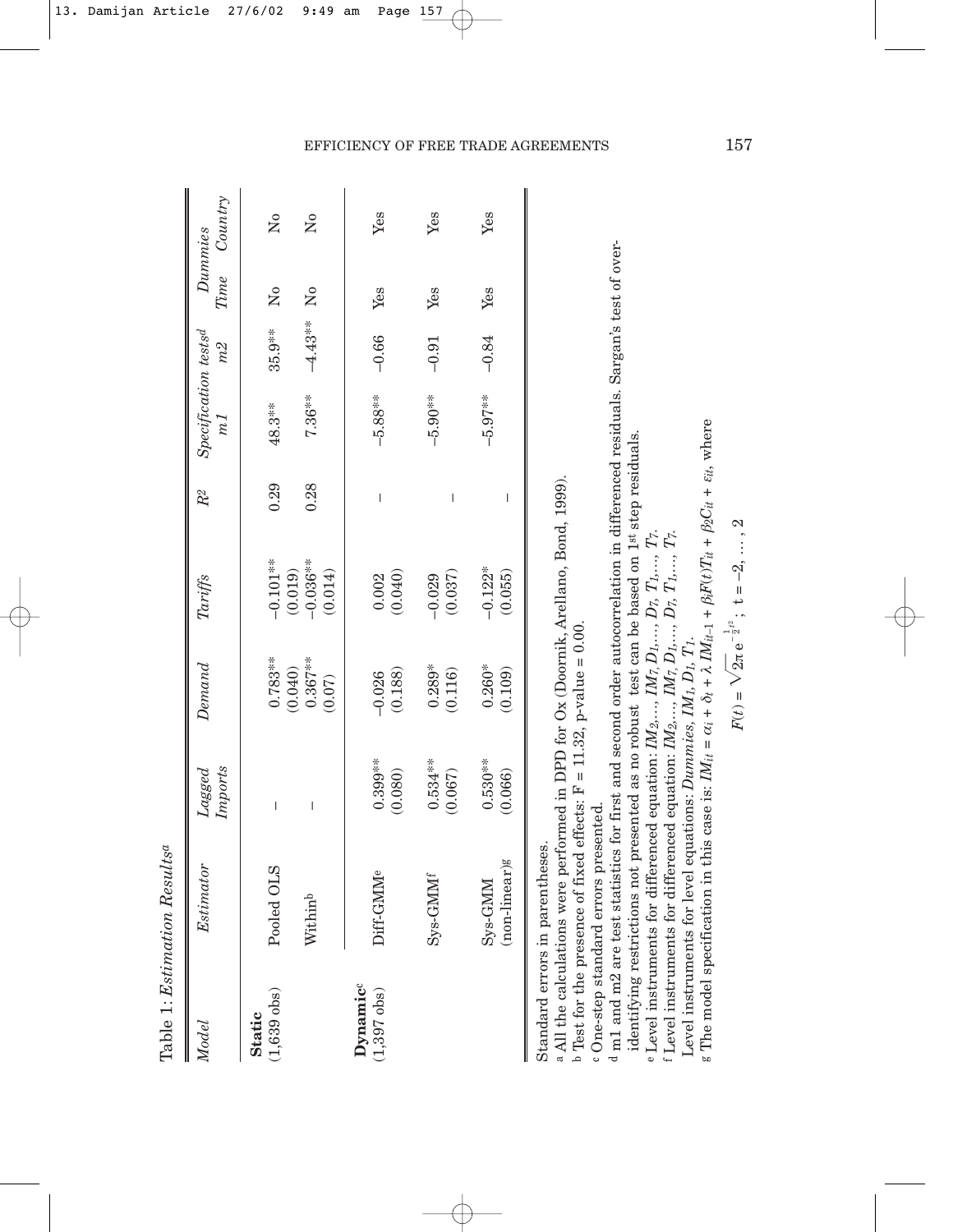|                                        | Table 1: Estimation Resultsa                                                                                                                                                                                                                                                                                                                         |                          |                                 |                                  |        |                                            |           |                      |                           |
|----------------------------------------|------------------------------------------------------------------------------------------------------------------------------------------------------------------------------------------------------------------------------------------------------------------------------------------------------------------------------------------------------|--------------------------|---------------------------------|----------------------------------|--------|--------------------------------------------|-----------|----------------------|---------------------------|
| Model                                  | Estimator                                                                                                                                                                                                                                                                                                                                            | Imports<br>$L$ agge $d$  | Demand                          | Tariffs                          | $R^2$  | $Specification\ tests^d$<br>m <sub>I</sub> | m2        | Dummies<br>Time      | Country                   |
| $(1,639 \text{ obs})$<br><b>Static</b> | Pooled OLS                                                                                                                                                                                                                                                                                                                                           | I                        | $0.783**$                       | $-0.101**$                       | 0.29   | 48.3**                                     | 35.9**    | $\tilde{\mathsf{z}}$ | $\mathsf{S}^{\mathsf{o}}$ |
|                                        | Withinb                                                                                                                                                                                                                                                                                                                                              | $\overline{\phantom{a}}$ | $0.367***$<br>(0.040)<br>(0.07) | $-0.036**$<br>(0.019)<br>(0.014) | 0.28   | 7.36**                                     | $-4.43**$ | $\tilde{\mathbf{z}}$ | $\mathsf{S}^{\mathsf{o}}$ |
| Dynamic<br>$(1,397 \text{ obs})$       | Diff-GMM <sup>e</sup>                                                                                                                                                                                                                                                                                                                                | $0.399***$<br>(0.080)    | (0.188)<br>$-0.026$             | (0.040)<br>0.002                 | $\mid$ | $-5.88**$                                  | $-0.66$   | Yes                  | Yes                       |
|                                        | Sys-GMM <sup>f</sup>                                                                                                                                                                                                                                                                                                                                 | $0.534***$<br>(0.067)    | $0.289*$<br>(0.116)             | (0.037)<br>$-0.029$              | I      | $-5.90**$                                  | $-0.91$   | Yes                  | Yes                       |
|                                        | (non-linear)g<br>$Sys-GMM$                                                                                                                                                                                                                                                                                                                           | $0.530**$<br>(0.066)     | $0.260*$<br>(0.109)             | $-0.122*$<br>(0.055)             | I      | $-5.97***$                                 | $-0.84$   | Yes                  | Yes                       |
| c One-step standard                    | d m1 and m9 are testiglicatics for first and second order autocorrelation in differenced residuals Sargan's test of over-<br>a All the calculations were performed in DPD for Ox (Doornik, Arellano, Bond, 1999).<br>b Test for the presence of fixed effects: $F = 11.32$ , p-value = 0.00.<br>errors presented.<br>Standard errors in parentheses. |                          |                                 |                                  |        |                                            |           |                      |                           |

m1 and m2 are test statistics for first and second order autocorrelation in differenced residuals. Sargan's test of over-

identifying restrictions not presented as no robust test can be based on 1st step residuals. identifying restrictions not presented as no robust test can be based on 1st step residuals.

e Level instruments for differenced equation: *IM2,…, IM7,*   $D_1,...,D_7,$   $T_1,...,$   $T_7.$ *E* Level instruments for differenced equation:  $IM_2, ..., IM_7, D_1, ..., D_7, T_1, ..., T_7$ .<br>f Level instruments for differenced equation:  $IM_2, ..., IM_7, D_1, ..., D_7, T_1, ..., T_7$ .

 Level instruments for differenced equation: *IM2,…, IM7,*   $D_1,...,D_7,$   $T_1,...,$   $T_7.$ 

Level instruments for level equations: Dummies,  $IM<sub>1</sub>, D<sub>1</sub>, T<sub>1</sub>$ . Level instruments for level equations: *Dummies, IM1, D1, T1*.

٥c

 $g$  The model specification in this case is:  $IM_{it} =$ α*i* + δ*t* + λ *IMit–*1 +  $\beta_i F(t) T_{it} +$ β2*Cit* + ε*it*, where

 $\overline{\mathcal{L}}$ 

$$
F(t) = \sqrt{2\pi} e^{-\frac{1}{2}\ell} ; t = -2, ..., 2
$$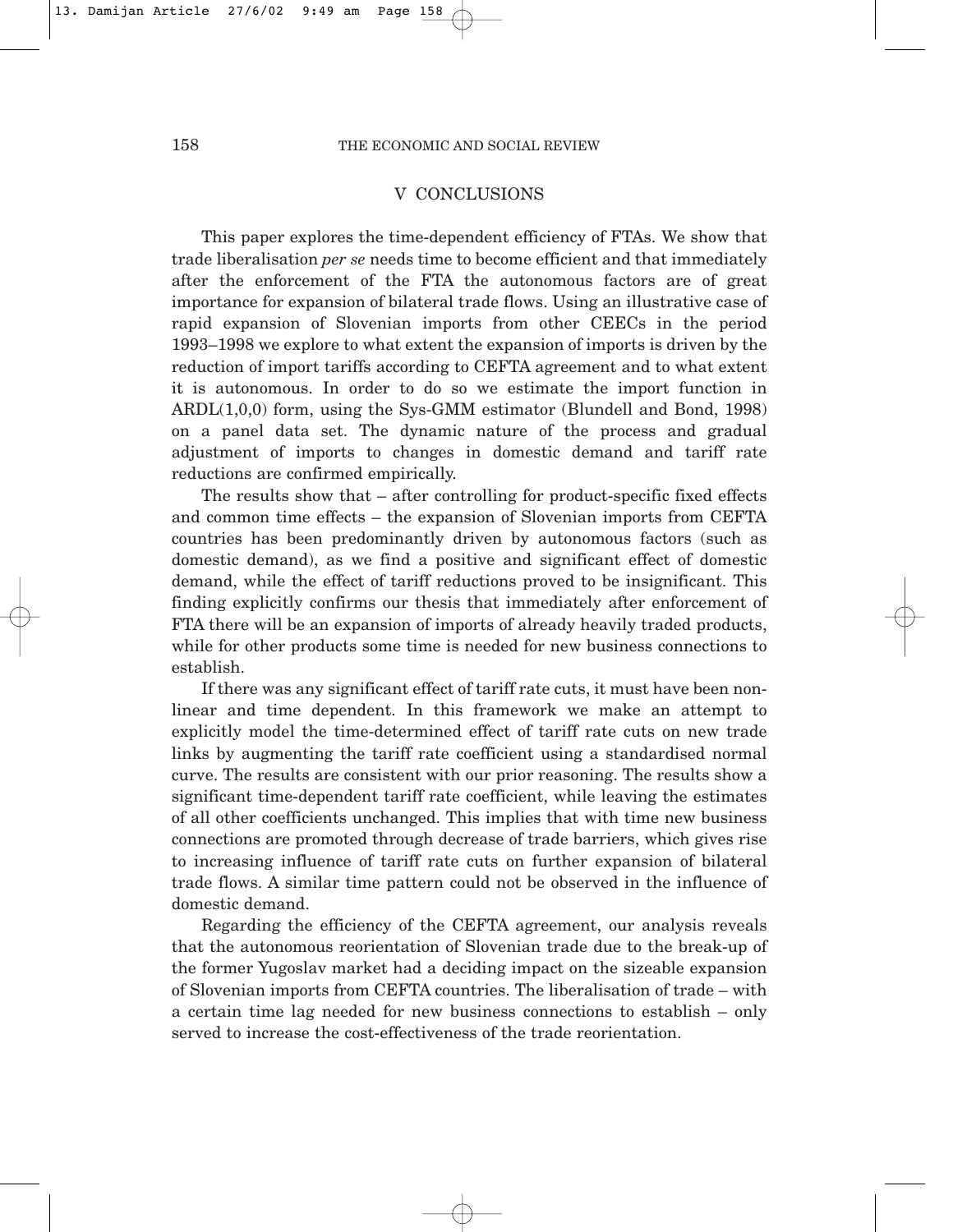# V CONCLUSIONS

This paper explores the time-dependent efficiency of FTAs. We show that trade liberalisation *per se* needs time to become efficient and that immediately after the enforcement of the FTA the autonomous factors are of great importance for expansion of bilateral trade flows. Using an illustrative case of rapid expansion of Slovenian imports from other CEECs in the period 1993–1998 we explore to what extent the expansion of imports is driven by the reduction of import tariffs according to CEFTA agreement and to what extent it is autonomous. In order to do so we estimate the import function in ARDL(1,0,0) form, using the Sys-GMM estimator (Blundell and Bond, 1998) on a panel data set. The dynamic nature of the process and gradual adjustment of imports to changes in domestic demand and tariff rate reductions are confirmed empirically.

The results show that – after controlling for product-specific fixed effects and common time effects – the expansion of Slovenian imports from CEFTA countries has been predominantly driven by autonomous factors (such as domestic demand), as we find a positive and significant effect of domestic demand, while the effect of tariff reductions proved to be insignificant. This finding explicitly confirms our thesis that immediately after enforcement of FTA there will be an expansion of imports of already heavily traded products, while for other products some time is needed for new business connections to establish.

If there was any significant effect of tariff rate cuts, it must have been nonlinear and time dependent. In this framework we make an attempt to explicitly model the time-determined effect of tariff rate cuts on new trade links by augmenting the tariff rate coefficient using a standardised normal curve. The results are consistent with our prior reasoning. The results show a significant time-dependent tariff rate coefficient, while leaving the estimates of all other coefficients unchanged. This implies that with time new business connections are promoted through decrease of trade barriers, which gives rise to increasing influence of tariff rate cuts on further expansion of bilateral trade flows. A similar time pattern could not be observed in the influence of domestic demand.

Regarding the efficiency of the CEFTA agreement, our analysis reveals that the autonomous reorientation of Slovenian trade due to the break-up of the former Yugoslav market had a deciding impact on the sizeable expansion of Slovenian imports from CEFTA countries. The liberalisation of trade – with a certain time lag needed for new business connections to establish – only served to increase the cost-effectiveness of the trade reorientation.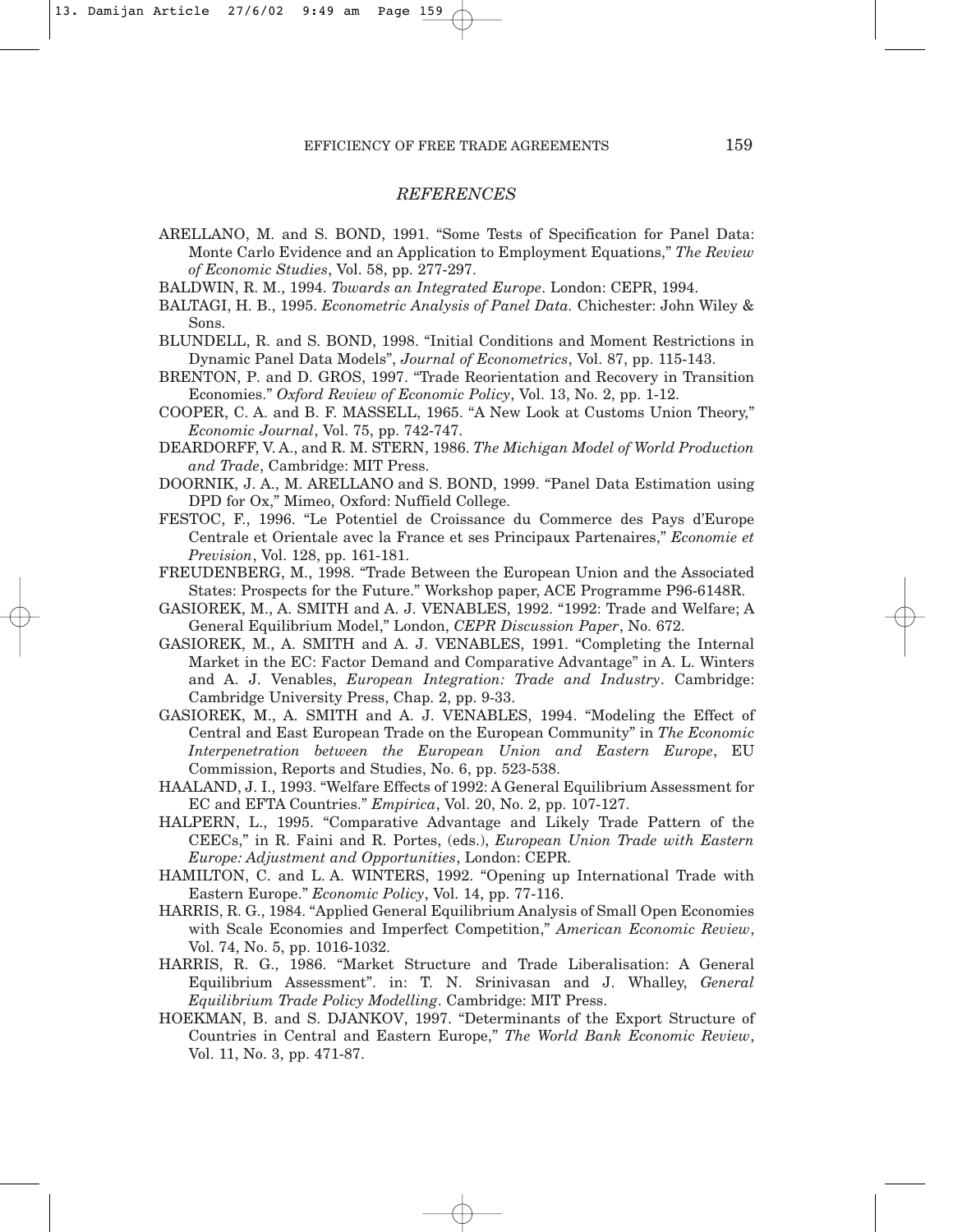#### *REFERENCES*

ARELLANO, M. and S. BOND, 1991. "Some Tests of Specification for Panel Data: Monte Carlo Evidence and an Application to Employment Equations," *The Review of Economic Studies*, Vol. 58, pp. 277-297.

BALDWIN, R. M., 1994. *Towards an Integrated Europe*. London: CEPR, 1994.

- BALTAGI, H. B., 1995. *Econometric Analysis of Panel Data.* Chichester: John Wiley & Sons.
- BLUNDELL, R. and S. BOND, 1998. "Initial Conditions and Moment Restrictions in Dynamic Panel Data Models", *Journal of Econometrics*, Vol. 87, pp. 115-143.
- BRENTON, P. and D. GROS, 1997. "Trade Reorientation and Recovery in Transition Economies." *Oxford Review of Economic Policy*, Vol. 13, No. 2, pp. 1-12.
- COOPER, C. A. and B. F. MASSELL, 1965. "A New Look at Customs Union Theory," *Economic Journal*, Vol. 75, pp. 742-747.

DEARDORFF, V. A., and R. M. STERN, 1986. *The Michigan Model of World Production and Trade*, Cambridge: MIT Press.

DOORNIK, J. A., M. ARELLANO and S. BOND, 1999. "Panel Data Estimation using DPD for Ox," Mimeo, Oxford: Nuffield College.

- FESTOC, F., 1996. "Le Potentiel de Croissance du Commerce des Pays d'Europe Centrale et Orientale avec la France et ses Principaux Partenaires," *Economie et Prevision*, Vol. 128, pp. 161-181.
- FREUDENBERG, M., 1998. "Trade Between the European Union and the Associated States: Prospects for the Future." Workshop paper, ACE Programme P96-6148R.
- GASIOREK, M., A. SMITH and A. J. VENABLES, 1992. "1992: Trade and Welfare; A General Equilibrium Model," London, *CEPR Discussion Paper*, No. 672.
- GASIOREK, M., A. SMITH and A. J. VENABLES, 1991. "Completing the Internal Market in the EC: Factor Demand and Comparative Advantage" in A. L. Winters and A. J. Venables, *European Integration: Trade and Industry*. Cambridge: Cambridge University Press, Chap. 2, pp. 9-33.
- GASIOREK, M., A. SMITH and A. J. VENABLES, 1994. "Modeling the Effect of Central and East European Trade on the European Community" in *The Economic Interpenetration between the European Union and Eastern Europe*, EU Commission, Reports and Studies, No. 6, pp. 523-538.
- HAALAND, J. I., 1993. "Welfare Effects of 1992: A General Equilibrium Assessment for EC and EFTA Countries." *Empirica*, Vol. 20, No. 2, pp. 107-127.
- HALPERN, L., 1995. "Comparative Advantage and Likely Trade Pattern of the CEECs," in R. Faini and R. Portes, (eds.), *European Union Trade with Eastern Europe: Adjustment and Opportunities*, London: CEPR.
- HAMILTON, C. and L. A. WINTERS, 1992. "Opening up International Trade with Eastern Europe." *Economic Policy*, Vol. 14, pp. 77-116.
- HARRIS, R. G., 1984. "Applied General Equilibrium Analysis of Small Open Economies with Scale Economies and Imperfect Competition," *American Economic Review*, Vol. 74, No. 5, pp. 1016-1032.
- HARRIS, R. G., 1986. "Market Structure and Trade Liberalisation: A General Equilibrium Assessment". in: T. N. Srinivasan and J. Whalley, *General Equilibrium Trade Policy Modelling*. Cambridge: MIT Press.
- HOEKMAN, B. and S. DJANKOV, 1997. "Determinants of the Export Structure of Countries in Central and Eastern Europe," *The World Bank Economic Review*, Vol. 11, No. 3, pp. 471-87.